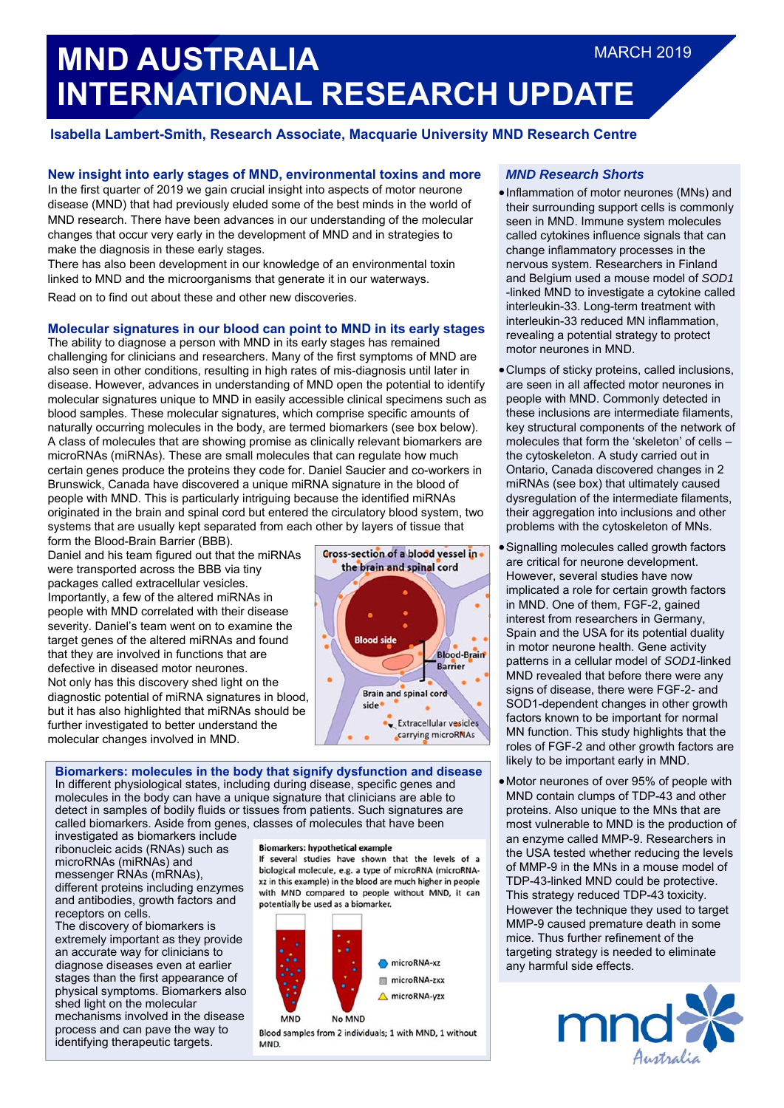# **MND AUSTRALIA INTERNATIONAL RESEARCH UPDATE**  MARCH 2019

# **Isabella Lambert-Smith, Research Associate, Macquarie University MND Research Centre**

# **New insight into early stages of MND, environmental toxins and more**

In the first quarter of 2019 we gain crucial insight into aspects of motor neurone disease (MND) that had previously eluded some of the best minds in the world of MND research. There have been advances in our understanding of the molecular changes that occur very early in the development of MND and in strategies to make the diagnosis in these early stages.

There has also been development in our knowledge of an environmental toxin linked to MND and the microorganisms that generate it in our waterways.

Read on to find out about these and other new discoveries.

## **Molecular signatures in our blood can point to MND in its early stages**

The ability to diagnose a person with MND in its early stages has remained challenging for clinicians and researchers. Many of the first symptoms of MND are also seen in other conditions, resulting in high rates of mis-diagnosis until later in disease. However, advances in understanding of MND open the potential to identify molecular signatures unique to MND in easily accessible clinical specimens such as blood samples. These molecular signatures, which comprise specific amounts of naturally occurring molecules in the body, are termed biomarkers (see box below). A class of molecules that are showing promise as clinically relevant biomarkers are microRNAs (miRNAs). These are small molecules that can regulate how much certain genes produce the proteins they code for. Daniel Saucier and co-workers in Brunswick, Canada have discovered a unique miRNA signature in the blood of people with MND. This is particularly intriguing because the identified miRNAs originated in the brain and spinal cord but entered the circulatory blood system, two systems that are usually kept separated from each other by layers of tissue that

form the Blood-Brain Barrier (BBB). Daniel and his team figured out that the miRNAs were transported across the BBB via tiny packages called extracellular vesicles. Importantly, a few of the altered miRNAs in people with MND correlated with their disease severity. Daniel's team went on to examine the target genes of the altered miRNAs and found that they are involved in functions that are defective in diseased motor neurones. Not only has this discovery shed light on the diagnostic potential of miRNA signatures in blood, but it has also highlighted that miRNAs should be further investigated to better understand the molecular changes involved in MND.



**Biomarkers: molecules in the body that signify dysfunction and disease**  In different physiological states, including during disease, specific genes and molecules in the body can have a unique signature that clinicians are able to detect in samples of bodily fluids or tissues from patients. Such signatures are called biomarkers. Aside from genes, classes of molecules that have been

investigated as biomarkers include ribonucleic acids (RNAs) such as microRNAs (miRNAs) and messenger RNAs (mRNAs), different proteins including enzymes and antibodies, growth factors and receptors on cells.

The discovery of biomarkers is extremely important as they provide an accurate way for clinicians to diagnose diseases even at earlier stages than the first appearance of physical symptoms. Biomarkers also shed light on the molecular mechanisms involved in the disease process and can pave the way to identifying therapeutic targets.

#### **Biomarkers: hypothetical example**

If several studies have shown that the levels of a biological molecule, e.g. a type of microRNA (microRNAxz in this example) in the blood are much higher in people with MND compared to people without MND, it can potentially be used as a biomarker.



Blood samples from 2 individuals: 1 with MND, 1 without MND.

#### *MND Research Shorts*

- Inflammation of motor neurones (MNs) and their surrounding support cells is commonly seen in MND. Immune system molecules called cytokines influence signals that can change inflammatory processes in the nervous system. Researchers in Finland and Belgium used a mouse model of *SOD1* -linked MND to investigate a cytokine called interleukin-33. Long-term treatment with interleukin-33 reduced MN inflammation, revealing a potential strategy to protect motor neurones in MND.
- Clumps of sticky proteins, called inclusions, are seen in all affected motor neurones in people with MND. Commonly detected in these inclusions are intermediate filaments, key structural components of the network of molecules that form the 'skeleton' of cells – the cytoskeleton. A study carried out in Ontario, Canada discovered changes in 2 miRNAs (see box) that ultimately caused dysregulation of the intermediate filaments, their aggregation into inclusions and other problems with the cytoskeleton of MNs.
- Signalling molecules called growth factors are critical for neurone development. However, several studies have now implicated a role for certain growth factors in MND. One of them, FGF-2, gained interest from researchers in Germany, Spain and the USA for its potential duality in motor neurone health. Gene activity patterns in a cellular model of *SOD1-*linked MND revealed that before there were any signs of disease, there were FGF-2- and SOD1-dependent changes in other growth factors known to be important for normal MN function. This study highlights that the roles of FGF-2 and other growth factors are likely to be important early in MND.
- Motor neurones of over 95% of people with MND contain clumps of TDP-43 and other proteins. Also unique to the MNs that are most vulnerable to MND is the production of an enzyme called MMP-9. Researchers in the USA tested whether reducing the levels of MMP-9 in the MNs in a mouse model of TDP-43-linked MND could be protective. This strategy reduced TDP-43 toxicity. However the technique they used to target MMP-9 caused premature death in some mice. Thus further refinement of the targeting strategy is needed to eliminate any harmful side effects.